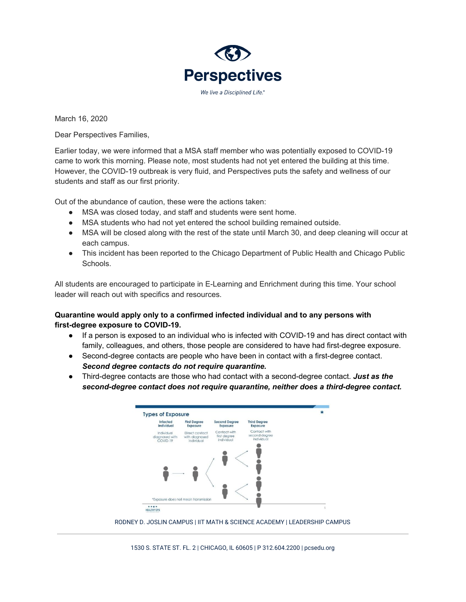

March 16, 2020

Dear Perspectives Families,

Earlier today, we were informed that a MSA staff member who was potentially exposed to COVID-19 came to work this morning. Please note, most students had not yet entered the building at this time. However, the COVID-19 outbreak is very fluid, and Perspectives puts the safety and wellness of our students and staff as our first priority.

Out of the abundance of caution, these were the actions taken:

- MSA was closed today, and staff and students were sent home.
- MSA students who had not yet entered the school building remained outside.
- MSA will be closed along with the rest of the state until March 30, and deep cleaning will occur at each campus.
- This incident has been reported to the Chicago Department of Public Health and Chicago Public Schools.

All students are encouraged to participate in E-Learning and Enrichment during this time. Your school leader will reach out with specifics and resources.

## **Quarantine would apply only to a confirmed infected individual and to any persons with first-degree exposure to COVID-19.**

- If a person is exposed to an individual who is infected with COVID-19 and has direct contact with family, colleagues, and others, those people are considered to have had first-degree exposure.
- Second-degree contacts are people who have been in contact with a first-degree contact. *Second degree contacts do not require quarantine.*
- Third-degree contacts are those who had contact with a second-degree contact. *Just as the second-degree contact does not require quarantine, neither does a third-degree contact.*



RODNEY D. JOSLIN CAMPUS | IIT MATH & SCIENCE ACADEMY | LEADERSHIP CAMPUS

1530 S. STATE ST. FL. 2 | CHICAGO, IL 60605 | P 312.604.2200 | pcsedu.org